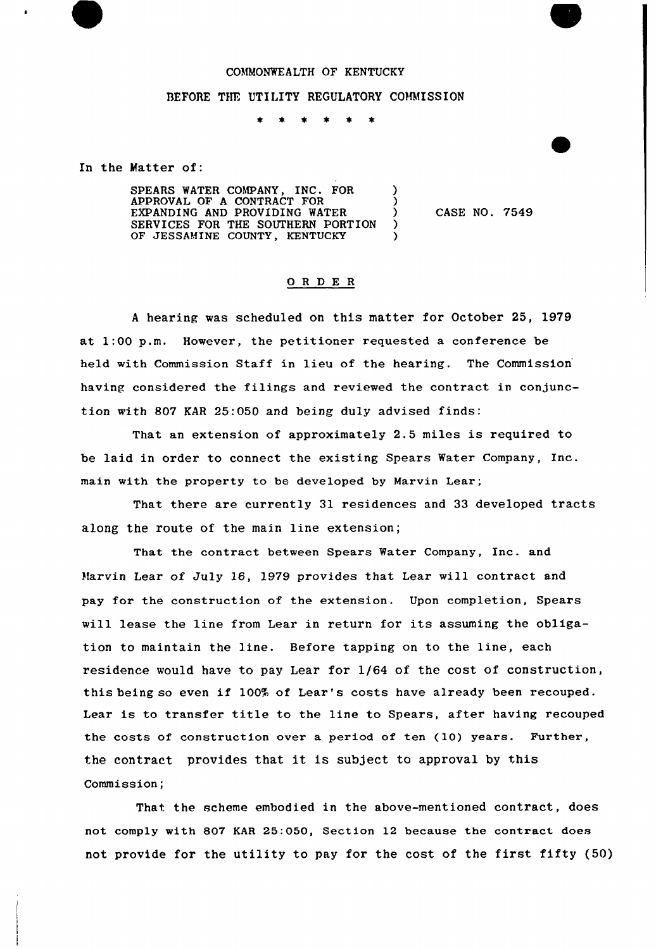## COMMONWEALTH OF KENTUCKY

## BEFORE THE UTILITY REGULATORY COMMISSION

 $\bullet$  $\bullet$  $\star$  $\star$ 

In the Matter of:

SPEARS WATER COMPANY, INC. FOR  $\bigcup_{\text{APPROVAT. OF A COMTRACT FOR}}$ APPROVAL OF A CONTRACT FOR (1) EXPANDING AND PROVIDING WATER )<br>SERVICES FOR THE SOUTHERN PORTION ) SERVICES FOR THE SOUTHERN PORTION )<br>OF JESSAMINE COUNTY, KENTUCKY OF JESSAMINE COUNTY, KENTUCKY

CASE NO. 7549

## ORDER

<sup>A</sup> hearing was scheduled on this matter for October 25, 1979 at 1:00 p.m. However, the petitioner requested a conference be held with Commission Staff in lieu of the hearing. The Commission having considered the filings and reviewed the contract in conjunction with 807 KAR 25:050 and being duly advised finds:

That an extension of approximately 2.5 miles is required to be laid in order to connect the existing Spears Water Company, Inc. main with the property to be developed by Marvin Lear;

That there are currently 31 residences and 33 developed tracts along the route of the main line extension;

That the contract between Spears Water Company, Inc. and Marvin Lear of July 16, 1979 provides that Lear will contract and pay for the construction of the extension. Upon completion, Spears will lease the line from Lear in return for its assuming the obligation to maintain the line. Before tapping on to the line, each residence would have to pay Lear for 1/64 of the cost of construction, this being so even if 100% of Lear's costs have already been recouped. Lear is to transfer title to the line to Spears, after having recouped the costs of construction over a period of ten (10) years. Further, the contract provides that it is subject to approval by this Commission;

That the scheme embodied in the above-mentioned contract, does not comply with 807 KAR 25:050, Section 12 because the contract does not provide for the utility to pay for the cost of the first fifty (50)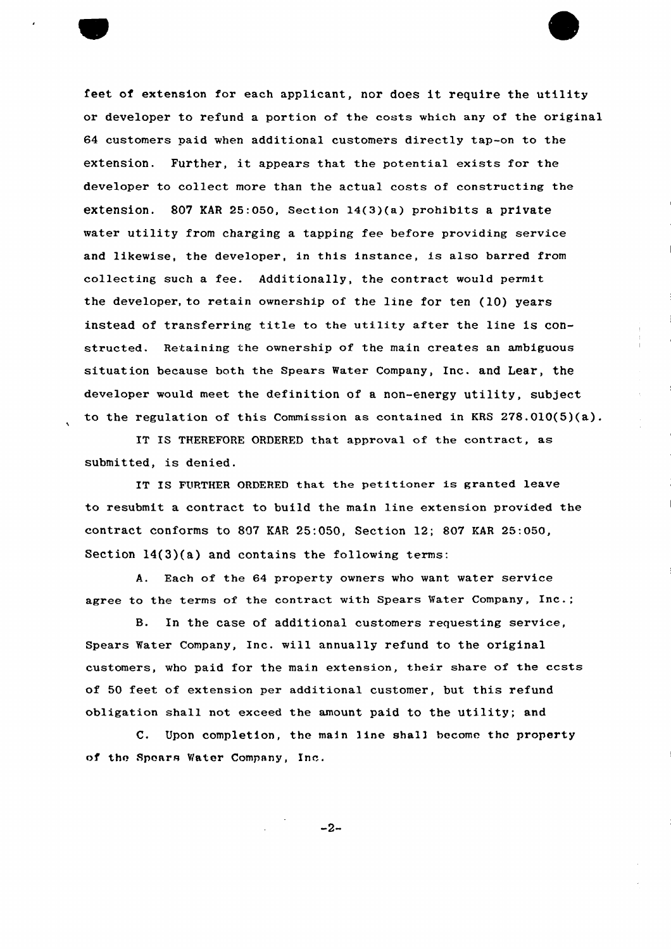

feet of extension for each applicant, nor does it require the utility or developer to refund a portion of the costs which any of the original 64 customers paid when additional customers directly tap-on to the extension. Further, it appears that the potential exists for the developer to collect more than the actual costs of constructing the extension. 807 KAR 25:050, Section 14(3)(a) prohibits a private water utility from charging a tapping fee before providing service and likewise, the developer, in this instance, is also barred from collecting such a fee. Additionally, the contract would permit the developer, to retain ownership of the line for ten (10) years instead of transferring title to the utility after the line is constructed. Retaining the ownership of the main creates an ambiguous situation because both the Spears Water Company, Inc. and Lear, the developer would meet the definition of a non-energy utility, subject to the regulation of this Commission as contained in KRS 278.010(5)(a).

IT IS THEREFORE ORDERED that approval of the contract, as submitted, is denied.

IT IS FURTHER ORDERED that the petitioner is granted leave to resubmit a contract to build the main line extension provided the contract conforms to 807 EAR 25:050, Section 12; 807 KAR 25:050, Section 14(3)(a) and contains the following terms:

A. Each of the 64 property owners who want water service agree to the terms of the contract with Spears Water Company, Inc.;

B. In the case of additional customers requesting service, Spears Water Company, Inc. will annually refund to the original customers, who paid for the main extension, their share of the ccsts of 50 feet of extension per additional customer, but this refund obligation shall not exceed the amount paid to the utility; and

C. Upon completion, the main line shall become the property of the Spears Water Company, Inc.

 $-2-$